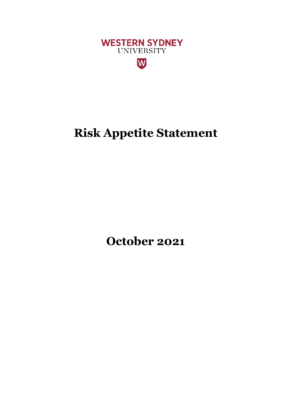

# **Risk Appetite Statement**

**October 2021**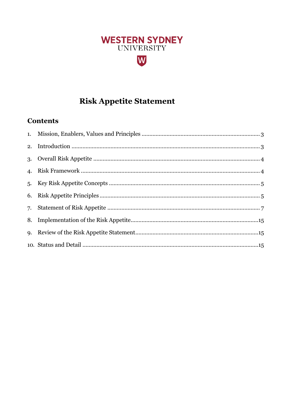# **WESTERN SYDNEY** UNIVERSITY W

# **Risk Appetite Statement**

### **Contents**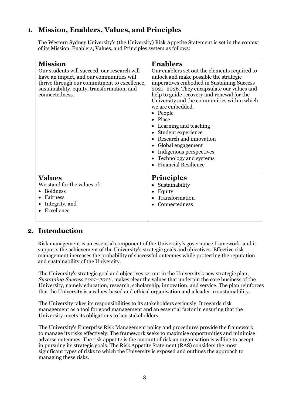### <span id="page-2-0"></span>**1. Mission, Enablers, Values, and Principles**

The Western Sydney University's (the University) Risk Appetite Statement is set in the context of its Mission, Enablers, Values, and Principles system as follows:

| <b>Mission</b><br>Our students will succeed, our research will<br>have an impact, and our communities will<br>thrive through our commitment to excellence,<br>sustainability, equity, transformation, and<br>connectedness. | <b>Enablers</b><br>Our enablers set out the elements required to<br>unlock and make possible the strategic<br>imperatives embodied in Sustaining Success<br>2021-2026. They encapsulate our values and<br>help to guide recovery and renewal for the<br>University and the communities within which<br>we are embedded.<br>• People<br>Place<br>Learning and teaching<br>Student experience<br>$\bullet$<br>Research and innovation<br>Global engagement<br>$\bullet$<br>Indigenous perspectives<br>Technology and systems<br><b>Financial Resilience</b> |
|-----------------------------------------------------------------------------------------------------------------------------------------------------------------------------------------------------------------------------|-----------------------------------------------------------------------------------------------------------------------------------------------------------------------------------------------------------------------------------------------------------------------------------------------------------------------------------------------------------------------------------------------------------------------------------------------------------------------------------------------------------------------------------------------------------|
| <b>Values</b><br>We stand for the values of:<br><b>Boldness</b><br>Fairness<br>Integrity, and<br>Excellence                                                                                                                 | <b>Principles</b><br>Sustainability<br>Equity<br>Transformation<br>Connectedness                                                                                                                                                                                                                                                                                                                                                                                                                                                                          |

### <span id="page-2-1"></span>**2. Introduction**

Risk management is an essential component of the University's governance framework, and it supports the achievement of the University's strategic goals and objectives. Effective risk management increases the probability of successful outcomes while protecting the reputation and sustainability of the University.

The University's strategic goal and objectives set out in the University's new strategic plan, *Sustaining Success 2021–2026,* makes clear the values that underpin the core business of the University, namely education, research, scholarship, innovation, and service. The plan reinforces that the University is a values-based and ethical organisation and a leader in sustainability.

The University takes its responsibilities to its stakeholders seriously. It regards risk management as a tool for good management and an essential factor in ensuring that the University meets its obligations to key stakeholders.

The University's Enterprise Risk Management policy and procedures provide the framework to manage its risks effectively. The framework seeks to maximise opportunities and minimise adverse outcomes. The risk appetite is the amount of risk an organisation is willing to accept in pursuing its strategic goals. The Risk Appetite Statement (RAS) considers the most significant types of risks to which the University is exposed and outlines the approach to managing these risks.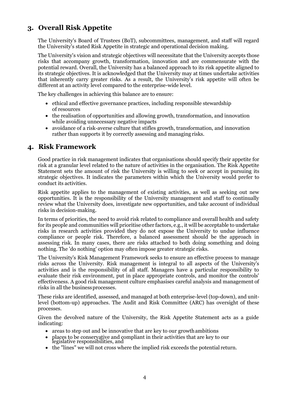### <span id="page-3-0"></span>**3. Overall Risk Appetite**

The University's Board of Trustees (BoT), subcommittees, management, and staff will regard the University's stated Risk Appetite in strategic and operational decision making.

The University's vision and strategic objectives will necessitate that the University accepts those risks that accompany growth, transformation, innovation and are commensurate with the potential reward. Overall, the University has a balanced approach to its risk appetite aligned to its strategic objectives. It is acknowledged that the University may at times undertake activities that inherently carry greater risks. As a result, the University's risk appetite will often be different at an activity level compared to the enterprise-wide level.

The key challenges in achieving this balance are to ensure:

- ethical and effective governance practices, including responsible stewardship of resources
- the realisation of opportunities and allowing growth, transformation, and innovation while avoiding unnecessary negative impacts
- avoidance of a risk-averse culture that stifles growth, transformation, and innovation rather than supports it by correctly assessing and managing risks.

### <span id="page-3-1"></span>**4. Risk Framework**

Good practice in risk management indicates that organisations should specify their appetite for risk at a granular level related to the nature of activities in the organisation. The Risk Appetite Statement sets the amount of risk the University is willing to seek or accept in pursuing its strategic objectives. It indicates the parameters within which the University would prefer to conduct its activities.

Risk appetite applies to the management of existing activities, as well as seeking out new opportunities. It is the responsibility of the University management and staff to continually review what the University does, investigate new opportunities, and take account of individual risks in decision-making.

In terms of priorities, the need to avoid risk related to compliance and overall health and safety for its people and communities will prioritise other factors, e.g., it will be acceptable to undertake risks in research activities provided they do not expose the University to undue influence compliance or people risk. Therefore, a balanced assessment should be the approach in assessing risk. In many cases, there are risks attached to both doing something and doing nothing. The 'do nothing' option may often impose greater strategic risks.

The University's Risk Management Framework seeks to ensure an effective process to manage risks across the University. Risk management is integral to all aspects of the University's activities and is the responsibility of all staff. Managers have a particular responsibility to evaluate their risk environment, put in place appropriate controls, and monitor the controls' effectiveness. A good risk management culture emphasises careful analysis and management of risks in all the businessprocesses.

These risks are identified, assessed, and managed at both enterprise-level (top-down), and unitlevel (bottom-up) approaches. The Audit and Risk Committee (ARC) has oversight of these processes.

Given the devolved nature of the University, the Risk Appetite Statement acts as a guide indicating:

- areas to step out and be innovative that are key to our growth ambitions
- places to be conservative and compliant in their activities that are key to our legislative responsibilities, and
- <span id="page-3-2"></span>• the "lines" we will not cross where the implied risk exceeds the potential return.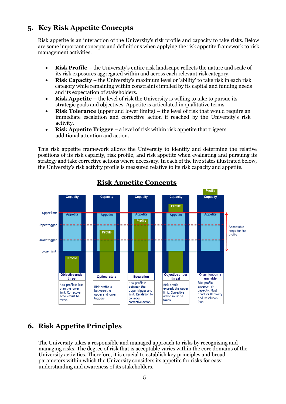### **5. Key Risk Appetite Concepts**

Risk appetite is an interaction of the University's risk profile and capacity to take risks. Below are some important concepts and definitions when applying the risk appetite framework to risk management activities.

- **Risk Profile**  the University's entire risk landscape reflects the nature and scale of its risk exposures aggregated within and across each relevant risk category.
- **Risk Capacity** the University's maximum level or 'ability' to take risk in each risk category while remaining within constraints implied by its capital and funding needs and its expectation of stakeholders.
- **Risk Appetite** the level of risk the University is willing to take to pursue its strategic goals and objectives. Appetite is articulated in qualitative terms.
- **Risk Tolerance** (upper and lower limits) the level of risk that would require an immediate escalation and corrective action if reached by the University's risk activity.
- **Risk Appetite Trigger**  a level of risk within risk appetite that triggers additional attention and action.

This risk appetite framework allows the University to identify and determine the relative positions of its risk capacity, risk profile, and risk appetite when evaluating and pursuing its strategy and take corrective actions where necessary. In each of the five states illustrated below, the University's risk activity profile is measured relative to its risk capacity and appetite.



### **Risk Appetite Concepts**

### <span id="page-4-0"></span>**6. Risk Appetite Principles**

The University takes a responsible and managed approach to risks by recognising and managing risks. The degree of risk that is acceptable varies within the core domains of the University activities. Therefore, it is crucial to establish key principles and broad parameters within which the University considers its appetite for risks for easy understanding and awareness of its stakeholders.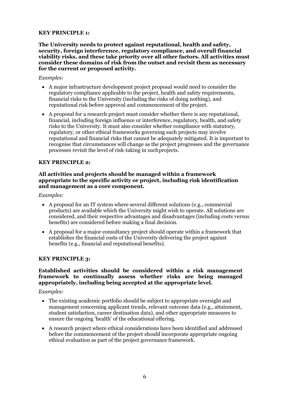#### **KEY PRINCIPLE 1:**

**The University needs to protect against reputational, health and safety, security, foreign interference, regulatory compliance, and overall financial viability risks, and these take priority over all other factors. All activities must consider these domains of risk from the outset and revisit them as necessary for the current or proposed activity.**

#### *Examples:*

- A major infrastructure development project proposal would need to consider the regulatory compliance applicable to the project, health and safety requirements, financial risks to the University (including the risks of doing nothing), and reputational risk before approval and commencement of the project.
- A proposal for a research project must consider whether there is any reputational, financial, including foreign influence or interference, regulatory, health, and safety risks to the University. It must also consider whether compliance with statutory, regulatory, or other ethical frameworks governing such projects may involve reputational and financial risks that cannot be adequately mitigated. It is important to recognise that circumstances will change as the project progresses and the governance processes revisit the level of risk-taking in suchprojects.

#### **KEY PRINCIPLE 2:**

#### **All activities and projects should be managed within a framework appropriate to the specific activity or project, including risk identification and management as a core component.**

#### *Examples:*

- A proposal for an IT system where several different solutions (e.g., commercial products) are available which the University might wish to operate. All solutions are considered, and their respective advantages and disadvantages (including costs versus benefits) are considered before making a final decision.
- A proposal for a major consultancy project should operate within a framework that establishes the financial costs of the University delivering the project against benefits (e.g., financial and reputational benefits).

#### **KEY PRINCIPLE 3:**

#### **Established activities should be considered within a risk management framework to continually assess whether risks are being managed appropriately, including being accepted at the appropriate level.**

#### *Examples:*

- The existing academic portfolio should be subject to appropriate oversight and management concerning applicant trends, relevant outcome data (e.g., attainment, student satisfaction, career destination data), and other appropriate measures to ensure the ongoing 'health' of the educational offering.
- A research project where ethical considerations have been identified and addressed before the commencement of the project should incorporate appropriate ongoing ethical evaluation as part of the project governance framework.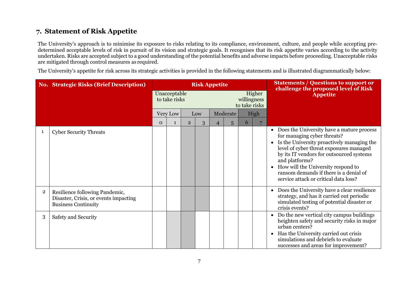### **7. Statement of Risk Appetite**

The University's approach is to minimise its exposure to risks relating to its compliance, environment, culture, and people while accepting predetermined acceptable levels of risk in pursuit of its vision and strategic goals. It recognises that its risk appetite varies according to the activity undertaken. Risks are accepted subject to a good understanding of the potential benefits and adverse impacts before proceeding. Unacceptable risks are mitigated through control measures as required.

The University's appetite for risk across its strategic activities is provided in the following statements and is illustrated diagrammatically below:

<span id="page-6-0"></span>

|   | <b>No. Strategic Risks (Brief Description)</b>                                                        |          |                                                                         |                | <b>Risk Appetite</b> |   |          |   | <b>Statements / Questions to support or</b><br>challenge the proposed level of Risk |                                                                                                                                                                                                                                                                                                                                                                                    |  |
|---|-------------------------------------------------------------------------------------------------------|----------|-------------------------------------------------------------------------|----------------|----------------------|---|----------|---|-------------------------------------------------------------------------------------|------------------------------------------------------------------------------------------------------------------------------------------------------------------------------------------------------------------------------------------------------------------------------------------------------------------------------------------------------------------------------------|--|
|   |                                                                                                       |          | Unacceptable<br>Higher<br>willingness<br>to take risks<br>to take risks |                |                      |   |          |   | <b>Appetite</b>                                                                     |                                                                                                                                                                                                                                                                                                                                                                                    |  |
|   |                                                                                                       |          | Very Low                                                                | Low            |                      |   | Moderate |   | High                                                                                |                                                                                                                                                                                                                                                                                                                                                                                    |  |
|   |                                                                                                       | $\Omega$ | $\mathbf{1}$                                                            | $\overline{2}$ | 3                    | 4 | 5        | 6 |                                                                                     |                                                                                                                                                                                                                                                                                                                                                                                    |  |
| 1 | <b>Cyber Security Threats</b>                                                                         |          |                                                                         |                |                      |   |          |   |                                                                                     | Does the University have a mature process<br>$\bullet$<br>for managing cyber threats?<br>Is the University proactively managing the<br>$\bullet$<br>level of cyber threat exposures managed<br>by its IT vendors for outsourced systems<br>and platforms?<br>How will the University respond to<br>ransom demands if there is a denial of<br>service attack or critical data loss? |  |
| 2 | Resilience following Pandemic,<br>Disaster, Crisis, or events impacting<br><b>Business Continuity</b> |          |                                                                         |                |                      |   |          |   |                                                                                     | Does the University have a clear resilience<br>$\bullet$<br>strategy, and has it carried out periodic<br>simulated testing of potential disaster or<br>crisis events?                                                                                                                                                                                                              |  |
| 3 | Safety and Security                                                                                   |          |                                                                         |                |                      |   |          |   |                                                                                     | Do the new vertical city campus buildings<br>$\bullet$<br>heighten safety and security risks in major<br>urban centers?<br>Has the University carried out crisis<br>$\bullet$<br>simulations and debriefs to evaluate<br>successes and areas for improvement?                                                                                                                      |  |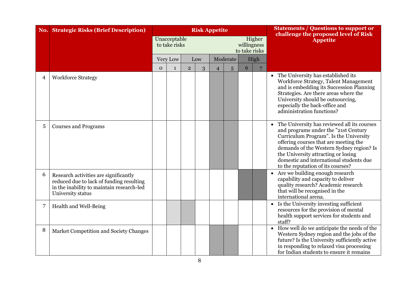|   | <b>No. Strategic Risks (Brief Description)</b>                                                                                                      |              |                               |            |   | <b>Risk Appetite</b> |   |                              | <b>Statements / Questions to support or</b><br>challenge the proposed level of Risk |                                                                                                                                                                                                                                                                                                                                             |
|---|-----------------------------------------------------------------------------------------------------------------------------------------------------|--------------|-------------------------------|------------|---|----------------------|---|------------------------------|-------------------------------------------------------------------------------------|---------------------------------------------------------------------------------------------------------------------------------------------------------------------------------------------------------------------------------------------------------------------------------------------------------------------------------------------|
|   |                                                                                                                                                     |              | Unacceptable<br>to take risks |            |   |                      |   | willingness<br>to take risks | Higher                                                                              | <b>Appetite</b>                                                                                                                                                                                                                                                                                                                             |
|   |                                                                                                                                                     |              | Very Low                      | Low        |   | Moderate             |   |                              | High                                                                                |                                                                                                                                                                                                                                                                                                                                             |
|   |                                                                                                                                                     | $\mathbf{O}$ | $\mathbf{1}$                  | $\sqrt{2}$ | 3 | $\overline{4}$       | 5 | 6                            |                                                                                     |                                                                                                                                                                                                                                                                                                                                             |
| 4 | <b>Workforce Strategy</b>                                                                                                                           |              |                               |            |   |                      |   |                              |                                                                                     | • The University has established its<br>Workforce Strategy, Talent Management<br>and is embedding its Succession Planning<br>Strategies. Are there areas where the<br>University should be outsourcing,<br>especially the back-office and<br>administration functions?                                                                      |
| 5 | <b>Courses and Programs</b>                                                                                                                         |              |                               |            |   |                      |   |                              |                                                                                     | • The University has reviewed all its courses<br>and programs under the "21st Century<br>Curriculum Program". Is the University<br>offering courses that are meeting the<br>demands of the Western Sydney region? Is<br>the University attracting or losing<br>domestic and international students due<br>to the reputation of its courses? |
| 6 | Research activities are significantly<br>reduced due to lack of funding resulting<br>in the inability to maintain research-led<br>University status |              |                               |            |   |                      |   |                              |                                                                                     | Are we building enough research<br>$\bullet$<br>capability and capacity to deliver<br>quality research? Academic research<br>that will be recognised in the<br>international arena.                                                                                                                                                         |
| 7 | Health and Well-Being                                                                                                                               |              |                               |            |   |                      |   |                              |                                                                                     | • Is the University investing sufficient<br>resources for the provision of mental<br>health support services for students and<br>staff?                                                                                                                                                                                                     |
| 8 | Market Competition and Society Changes                                                                                                              |              |                               |            |   |                      |   |                              |                                                                                     | • How well do we anticipate the needs of the<br>Western Sydney region and the jobs of the<br>future? Is the University sufficiently active<br>in responding to relaxed visa processing<br>for Indian students to ensure it remains                                                                                                          |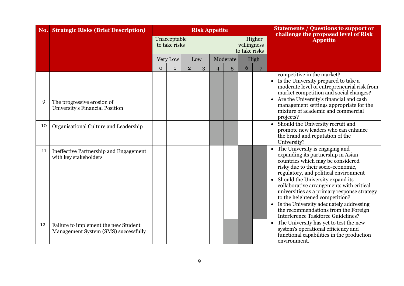|    | <b>No. Strategic Risks (Brief Description)</b>                               | <b>Risk Appetite</b> |                               |                |   |                |          |                              |        | <b>Statements / Questions to support or</b><br>challenge the proposed level of Risk                                                                                                                                                                                                                                                                                                                                                                                                                    |
|----|------------------------------------------------------------------------------|----------------------|-------------------------------|----------------|---|----------------|----------|------------------------------|--------|--------------------------------------------------------------------------------------------------------------------------------------------------------------------------------------------------------------------------------------------------------------------------------------------------------------------------------------------------------------------------------------------------------------------------------------------------------------------------------------------------------|
|    |                                                                              |                      | Unacceptable<br>to take risks |                |   |                |          | willingness<br>to take risks | Higher | <b>Appetite</b>                                                                                                                                                                                                                                                                                                                                                                                                                                                                                        |
|    |                                                                              |                      | Very Low                      | Low            |   |                | Moderate |                              | High   |                                                                                                                                                                                                                                                                                                                                                                                                                                                                                                        |
|    |                                                                              | $\mathbf{O}$         | $\mathbf{1}$                  | $\overline{2}$ | 3 | $\overline{4}$ | 5        | 6                            |        |                                                                                                                                                                                                                                                                                                                                                                                                                                                                                                        |
|    |                                                                              |                      |                               |                |   |                |          |                              |        | competitive in the market?<br>Is the University prepared to take a<br>moderate level of entrepreneurial risk from<br>market competition and social changes?                                                                                                                                                                                                                                                                                                                                            |
| 9  | The progressive erosion of<br>University's Financial Position                |                      |                               |                |   |                |          |                              |        | Are the University's financial and cash<br>$\bullet$<br>management settings appropriate for the<br>mixture of academic and commercial<br>projects?                                                                                                                                                                                                                                                                                                                                                     |
| 10 | Organisational Culture and Leadership                                        |                      |                               |                |   |                |          |                              |        | Should the University recruit and<br>$\bullet$<br>promote new leaders who can enhance<br>the brand and reputation of the<br>University?                                                                                                                                                                                                                                                                                                                                                                |
| 11 | Ineffective Partnership and Engagement<br>with key stakeholders              |                      |                               |                |   |                |          |                              |        | The University is engaging and<br>$\bullet$<br>expanding its partnership in Asian<br>countries which may be considered<br>risky due to their socio-economic,<br>regulatory, and political environment<br>Should the University expand its<br>collaborative arrangements with critical<br>universities as a primary response strategy<br>to the heightened competition?<br>Is the University adequately addressing<br>the recommendations from the Foreign<br><b>Interference Taskforce Guidelines?</b> |
| 12 | Failure to implement the new Student<br>Management System (SMS) successfully |                      |                               |                |   |                |          |                              |        | The University has yet to test the new<br>$\bullet$<br>system's operational efficiency and<br>functional capabilities in the production<br>environment.                                                                                                                                                                                                                                                                                                                                                |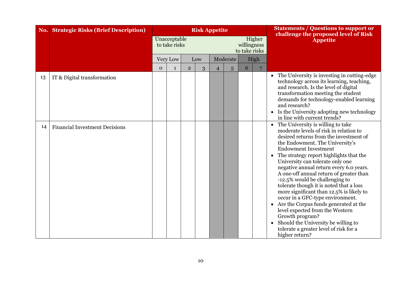| No. | <b>Strategic Risks (Brief Description)</b> | <b>Risk Appetite</b> |                               |                |     |                |          |                              |        | <b>Statements / Questions to support or</b><br>challenge the proposed level of Risk                                                                                                                                                                                                                                                                                                                                                                                                                                                                                                                                                                                                                                                                                |
|-----|--------------------------------------------|----------------------|-------------------------------|----------------|-----|----------------|----------|------------------------------|--------|--------------------------------------------------------------------------------------------------------------------------------------------------------------------------------------------------------------------------------------------------------------------------------------------------------------------------------------------------------------------------------------------------------------------------------------------------------------------------------------------------------------------------------------------------------------------------------------------------------------------------------------------------------------------------------------------------------------------------------------------------------------------|
|     |                                            |                      | Unacceptable<br>to take risks |                |     |                |          | willingness<br>to take risks | Higher | <b>Appetite</b>                                                                                                                                                                                                                                                                                                                                                                                                                                                                                                                                                                                                                                                                                                                                                    |
|     |                                            |                      | Very Low                      |                | Low |                | Moderate |                              | High   |                                                                                                                                                                                                                                                                                                                                                                                                                                                                                                                                                                                                                                                                                                                                                                    |
|     |                                            | $\mathbf{O}$         | $\mathbf{1}$                  | $\overline{2}$ | 3   | $\overline{4}$ | 5        | 6                            |        |                                                                                                                                                                                                                                                                                                                                                                                                                                                                                                                                                                                                                                                                                                                                                                    |
| 13  | IT & Digital transformation                |                      |                               |                |     |                |          |                              |        | • The University is investing in cutting-edge<br>technology across its learning, teaching,<br>and research. Is the level of digital<br>transformation meeting the student<br>demands for technology-enabled learning<br>and research?<br>• Is the University adopting new technology<br>in line with current trends?                                                                                                                                                                                                                                                                                                                                                                                                                                               |
| 14  | <b>Financial Investment Decisions</b>      |                      |                               |                |     |                |          |                              |        | The University is willing to take<br>$\bullet$<br>moderate levels of risk in relation to<br>desired returns from the investment of<br>the Endowment. The University's<br><b>Endowment Investment</b><br>The strategy report highlights that the<br>University can tolerate only one<br>negative annual return every 6.0 years.<br>A one-off annual return of greater than<br>-12.5% would be challenging to<br>tolerate though it is noted that a loss<br>more significant than 12.5% is likely to<br>occur in a GFC-type environment.<br>Are the Corpus funds generated at the<br>$\bullet$<br>level expected from the Western<br>Growth program?<br>Should the University be willing to<br>$\bullet$<br>tolerate a greater level of risk for a<br>higher return? |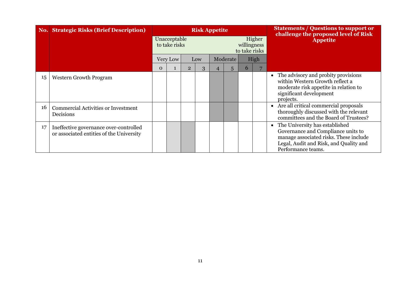|    | <b>No. Strategic Risks (Brief Description)</b>                                     | <b>Risk Appetite</b> |                               |                |     |  |          |                              |        | <b>Statements / Questions to support or</b><br>challenge the proposed level of Risk                                                                                                         |
|----|------------------------------------------------------------------------------------|----------------------|-------------------------------|----------------|-----|--|----------|------------------------------|--------|---------------------------------------------------------------------------------------------------------------------------------------------------------------------------------------------|
|    |                                                                                    |                      | Unacceptable<br>to take risks |                |     |  |          | willingness<br>to take risks | Higher | <b>Appetite</b>                                                                                                                                                                             |
|    |                                                                                    |                      | Very Low                      |                | Low |  | Moderate |                              | High   |                                                                                                                                                                                             |
|    |                                                                                    | $\Omega$             |                               | $\overline{2}$ | 3   |  | 5        | 6                            |        |                                                                                                                                                                                             |
| 15 | <b>Western Growth Program</b>                                                      |                      |                               |                |     |  |          |                              |        | The advisory and probity provisions<br>$\bullet$<br>within Western Growth reflect a<br>moderate risk appetite in relation to<br>significant development<br>projects.                        |
| 16 | <b>Commercial Activities or Investment</b><br>Decisions                            |                      |                               |                |     |  |          |                              |        | Are all critical commercial proposals<br>$\bullet$<br>thoroughly discussed with the relevant<br>committees and the Board of Trustees?                                                       |
| 17 | Ineffective governance over-controlled<br>or associated entities of the University |                      |                               |                |     |  |          |                              |        | The University has established<br>$\bullet$<br>Governance and Compliance units to<br>manage associated risks. These include<br>Legal, Audit and Risk, and Quality and<br>Performance teams. |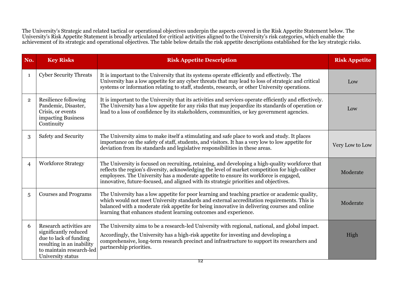The University's Strategic and related tactical or operational objectives underpin the aspects covered in the Risk Appetite Statement below. The University's Risk Appetite Statement is broadly articulated for critical activities aligned to the University's risk categories, which enable the achievement of its strategic and operational objectives. The table below details the risk appetite descriptions established for the key strategic risks.

| No.            | <b>Key Risks</b>                                                                                                                                         | <b>Risk Appetite Description</b>                                                                                                                                                                                                                                                                                                                                                      | <b>Risk Appetite</b> |
|----------------|----------------------------------------------------------------------------------------------------------------------------------------------------------|---------------------------------------------------------------------------------------------------------------------------------------------------------------------------------------------------------------------------------------------------------------------------------------------------------------------------------------------------------------------------------------|----------------------|
| $\mathbf{1}$   | <b>Cyber Security Threats</b>                                                                                                                            | It is important to the University that its systems operate efficiently and effectively. The<br>University has a low appetite for any cyber threats that may lead to loss of strategic and critical<br>systems or information relating to staff, students, research, or other University operations.                                                                                   | Low                  |
| $\overline{2}$ | Resilience following<br>Pandemic, Disaster,<br>Crisis, or events<br>impacting Business<br>Continuity                                                     | It is important to the University that its activities and services operate efficiently and effectively.<br>The University has a low appetite for any risks that may jeopardize its standards of operation or<br>lead to a loss of confidence by its stakeholders, communities, or key government agencies.                                                                            | Low                  |
| 3              | Safety and Security                                                                                                                                      | The University aims to make itself a stimulating and safe place to work and study. It places<br>importance on the safety of staff, students, and visitors. It has a very low to low appetite for<br>deviation from its standards and legislative responsibilities in these areas.                                                                                                     | Very Low to Low      |
| $\overline{4}$ | <b>Workforce Strategy</b>                                                                                                                                | The University is focused on recruiting, retaining, and developing a high-quality workforce that<br>reflects the region's diversity, acknowledging the level of market competition for high-caliber<br>employees. The University has a moderate appetite to ensure its workforce is engaged,<br>innovative, future-focused, and aligned with its strategic priorities and objectives. | Moderate             |
| 5              | <b>Courses and Programs</b>                                                                                                                              | The University has a low appetite for poor learning and teaching practice or academic quality,<br>which would not meet University standards and external accreditation requirements. This is<br>balanced with a moderate risk appetite for being innovative in delivering courses and online<br>learning that enhances student learning outcomes and experience.                      | Moderate             |
| 6              | Research activities are<br>significantly reduced<br>due to lack of funding<br>resulting in an inability<br>to maintain research-led<br>University status | The University aims to be a research-led University with regional, national, and global impact.<br>Accordingly, the University has a high-risk appetite for investing and developing a<br>comprehensive, long-term research precinct and infrastructure to support its researchers and<br>partnership priorities.                                                                     | High                 |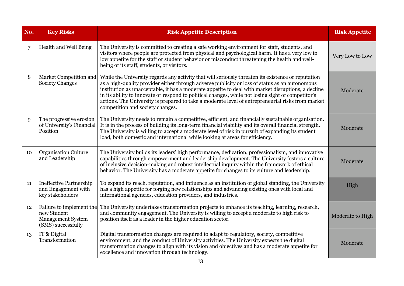| No.         | <b>Key Risks</b>                                                                   | <b>Risk Appetite Description</b>                                                                                                                                                                                                                                                                                                                                                                                                                                                                                                                          | <b>Risk Appetite</b> |
|-------------|------------------------------------------------------------------------------------|-----------------------------------------------------------------------------------------------------------------------------------------------------------------------------------------------------------------------------------------------------------------------------------------------------------------------------------------------------------------------------------------------------------------------------------------------------------------------------------------------------------------------------------------------------------|----------------------|
| 7           | Health and Well Being                                                              | The University is committed to creating a safe working environment for staff, students, and<br>visitors where people are protected from physical and psychological harm. It has a very low to<br>low appetite for the staff or student behavior or misconduct threatening the health and well-<br>being of its staff, students, or visitors.                                                                                                                                                                                                              | Very Low to Low      |
| 8           | Market Competition and<br><b>Society Changes</b>                                   | While the University regards any activity that will seriously threaten its existence or reputation<br>as a high-quality provider either through adverse publicity or loss of status as an autonomous<br>institution as unacceptable, it has a moderate appetite to deal with market disruptions, a decline<br>in its ability to innovate or respond to political changes, while not losing sight of competitor's<br>actions. The University is prepared to take a moderate level of entrepreneurial risks from market<br>competition and society changes. | Moderate             |
| $\mathbf Q$ | The progressive erosion<br>of University's Financial<br>Position                   | The University needs to remain a competitive, efficient, and financially sustainable organisation.<br>It is in the process of building its long-term financial viability and its overall financial strength.<br>The University is willing to accept a moderate level of risk in pursuit of expanding its student<br>load, both domestic and international while looking at areas for efficiency.                                                                                                                                                          | Moderate             |
| 10          | <b>Organisation Culture</b><br>and Leadership                                      | The University builds its leaders' high performance, dedication, professionalism, and innovative<br>capabilities through empowerment and leadership development. The University fosters a culture<br>of inclusive decision-making and robust intellectual inquiry within the framework of ethical<br>behavior. The University has a moderate appetite for changes to its culture and leadership.                                                                                                                                                          | Moderate             |
| 11          | <b>Ineffective Partnership</b><br>and Engagement with<br>key stakeholders          | To expand its reach, reputation, and influence as an institution of global standing, the University<br>has a high appetite for forging new relationships and advancing existing ones with local and<br>international agencies, education providers, and industries.                                                                                                                                                                                                                                                                                       | High                 |
| 12          | Failure to implement the<br>new Student<br>Management System<br>(SMS) successfully | The University undertakes transformation projects to enhance its teaching, learning, research,<br>and community engagement. The University is willing to accept a moderate to high risk to<br>position itself as a leader in the higher education sector.                                                                                                                                                                                                                                                                                                 | Moderate to High     |
| 13          | IT & Digital<br>Transformation                                                     | Digital transformation changes are required to adapt to regulatory, society, competitive<br>environment, and the conduct of University activities. The University expects the digital<br>transformation changes to align with its vision and objectives and has a moderate appetite for<br>excellence and innovation through technology.                                                                                                                                                                                                                  | Moderate             |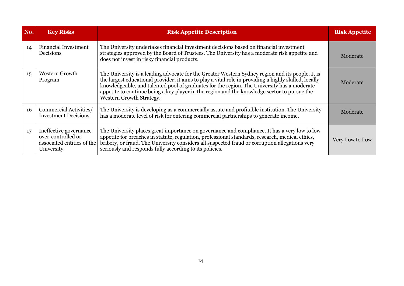| No. | <b>Key Risks</b>                                                                         | <b>Risk Appetite Description</b>                                                                                                                                                                                                                                                                                                                                                                                                     | <b>Risk Appetite</b> |
|-----|------------------------------------------------------------------------------------------|--------------------------------------------------------------------------------------------------------------------------------------------------------------------------------------------------------------------------------------------------------------------------------------------------------------------------------------------------------------------------------------------------------------------------------------|----------------------|
| 14  | <b>Financial Investment</b><br>Decisions                                                 | The University undertakes financial investment decisions based on financial investment<br>strategies approved by the Board of Trustees. The University has a moderate risk appetite and<br>does not invest in risky financial products.                                                                                                                                                                                              | Moderate             |
| 15  | Western Growth<br>Program                                                                | The University is a leading advocate for the Greater Western Sydney region and its people. It is<br>the largest educational provider; it aims to play a vital role in providing a highly skilled, locally<br>knowledgeable, and talented pool of graduates for the region. The University has a moderate<br>appetite to continue being a key player in the region and the knowledge sector to pursue the<br>Western Growth Strategy. | Moderate             |
| 16  | Commercial Activities/<br><b>Investment Decisions</b>                                    | The University is developing as a commercially astute and profitable institution. The University<br>has a moderate level of risk for entering commercial partnerships to generate income.                                                                                                                                                                                                                                            | Moderate             |
| 17  | Ineffective governance<br>over-controlled or<br>associated entities of the<br>University | The University places great importance on governance and compliance. It has a very low to low<br>appetite for breaches in statute, regulation, professional standards, research, medical ethics,<br>bribery, or fraud. The University considers all suspected fraud or corruption allegations very<br>seriously and responds fully according to its policies.                                                                        | Very Low to Low      |